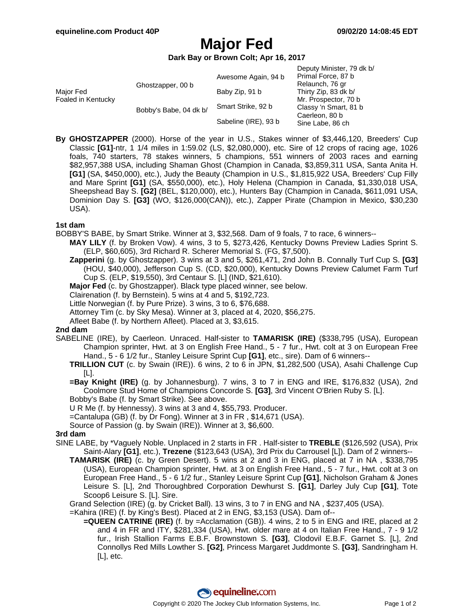# **Major Fed**

**Dark Bay or Brown Colt; Apr 16, 2017**

| Major Fed<br>Foaled in Kentucky | Ghostzapper, 00 b      | Awesome Again, 94 b  | Deputy Minister, 79 dk b/<br>Primal Force, 87 b<br>Relaunch, 76 gr<br>Thirty Zip, 83 dk b/<br>Mr. Prospector, 70 b<br>Classy 'n Smart, 81 b<br>Caerleon, 80 b<br>Sine Labe, 86 ch |
|---------------------------------|------------------------|----------------------|-----------------------------------------------------------------------------------------------------------------------------------------------------------------------------------|
|                                 |                        | Baby Zip, 91 b       |                                                                                                                                                                                   |
|                                 | Bobby's Babe, 04 dk b/ | Smart Strike, 92 b   |                                                                                                                                                                                   |
|                                 |                        | Sabeline (IRE), 93 b |                                                                                                                                                                                   |

**By GHOSTZAPPER** (2000). Horse of the year in U.S., Stakes winner of \$3,446,120, Breeders' Cup Classic **[G1]**-ntr, 1 1/4 miles in 1:59.02 (LS, \$2,080,000), etc. Sire of 12 crops of racing age, 1026 foals, 740 starters, 78 stakes winners, 5 champions, 551 winners of 2003 races and earning \$82,957,388 USA, including Shaman Ghost (Champion in Canada, \$3,859,311 USA, Santa Anita H. **[G1]** (SA, \$450,000), etc.), Judy the Beauty (Champion in U.S., \$1,815,922 USA, Breeders' Cup Filly and Mare Sprint **[G1]** (SA, \$550,000), etc.), Holy Helena (Champion in Canada, \$1,330,018 USA, Sheepshead Bay S. **[G2]** (BEL, \$120,000), etc.), Hunters Bay (Champion in Canada, \$611,091 USA, Dominion Day S. **[G3]** (WO, \$126,000(CAN)), etc.), Zapper Pirate (Champion in Mexico, \$30,230 USA).

#### **1st dam**

BOBBY'S BABE, by Smart Strike. Winner at 3, \$32,568. Dam of 9 foals, 7 to race, 6 winners--

- **MAY LILY** (f. by Broken Vow). 4 wins, 3 to 5, \$273,426, Kentucky Downs Preview Ladies Sprint S. (ELP, \$60,605), 3rd Richard R. Scherer Memorial S. (FG, \$7,500).
- **Zapperini** (g. by Ghostzapper). 3 wins at 3 and 5, \$261,471, 2nd John B. Connally Turf Cup S. **[G3]** (HOU, \$40,000), Jefferson Cup S. (CD, \$20,000), Kentucky Downs Preview Calumet Farm Turf Cup S. (ELP, \$19,550), 3rd Centaur S. [L] (IND, \$21,610).
- **Major Fed** (c. by Ghostzapper). Black type placed winner, see below.

Clairenation (f. by Bernstein). 5 wins at 4 and 5, \$192,723.

Little Norwegian (f. by Pure Prize). 3 wins, 3 to 6, \$76,688.

Attorney Tim (c. by Sky Mesa). Winner at 3, placed at 4, 2020, \$56,275.

Afleet Babe (f. by Northern Afleet). Placed at 3, \$3,615.

#### **2nd dam**

- SABELINE (IRE), by Caerleon. Unraced. Half-sister to **TAMARISK (IRE)** (\$338,795 (USA), European Champion sprinter, Hwt. at 3 on English Free Hand., 5 - 7 fur., Hwt. colt at 3 on European Free Hand., 5 - 6 1/2 fur., Stanley Leisure Sprint Cup **[G1]**, etc., sire). Dam of 6 winners--
	- **TRILLION CUT** (c. by Swain (IRE)). 6 wins, 2 to 6 in JPN, \$1,282,500 (USA), Asahi Challenge Cup [L].
	- **=Bay Knight (IRE)** (g. by Johannesburg). 7 wins, 3 to 7 in ENG and IRE, \$176,832 (USA), 2nd Coolmore Stud Home of Champions Concorde S. **[G3]**, 3rd Vincent O'Brien Ruby S. [L].
	- Bobby's Babe (f. by Smart Strike). See above.

U R Me (f. by Hennessy). 3 wins at 3 and 4, \$55,793. Producer.

- =Cantalupa (GB) (f. by Dr Fong). Winner at 3 in FR , \$14,671 (USA).
- Source of Passion (g. by Swain (IRE)). Winner at 3, \$6,600.

#### **3rd dam**

- SINE LABE, by \*Vaguely Noble. Unplaced in 2 starts in FR . Half-sister to **TREBLE** (\$126,592 (USA), Prix Saint-Alary **[G1]**, etc.), **Trezene** (\$123,643 (USA), 3rd Prix du Carrousel [L]). Dam of 2 winners--
	- **TAMARISK (IRE)** (c. by Green Desert). 5 wins at 2 and 3 in ENG, placed at 7 in NA , \$338,795 (USA), European Champion sprinter, Hwt. at 3 on English Free Hand., 5 - 7 fur., Hwt. colt at 3 on European Free Hand., 5 - 6 1/2 fur., Stanley Leisure Sprint Cup **[G1]**, Nicholson Graham & Jones Leisure S. [L], 2nd Thoroughbred Corporation Dewhurst S. **[G1]**, Darley July Cup **[G1]**, Tote Scoop6 Leisure S. [L]. Sire.

Grand Selection (IRE) (g. by Cricket Ball). 13 wins, 3 to 7 in ENG and NA , \$237,405 (USA).

=Kahira (IRE) (f. by King's Best). Placed at 2 in ENG, \$3,153 (USA). Dam of--

**=QUEEN CATRINE (IRE)** (f. by =Acclamation (GB)). 4 wins, 2 to 5 in ENG and IRE, placed at 2 and 4 in FR and ITY, \$281,334 (USA), Hwt. older mare at 4 on Italian Free Hand., 7 - 9 1/2 fur., Irish Stallion Farms E.B.F. Brownstown S. **[G3]**, Clodovil E.B.F. Garnet S. [L], 2nd Connollys Red Mills Lowther S. **[G2]**, Princess Margaret Juddmonte S. **[G3]**, Sandringham H. [L], etc.